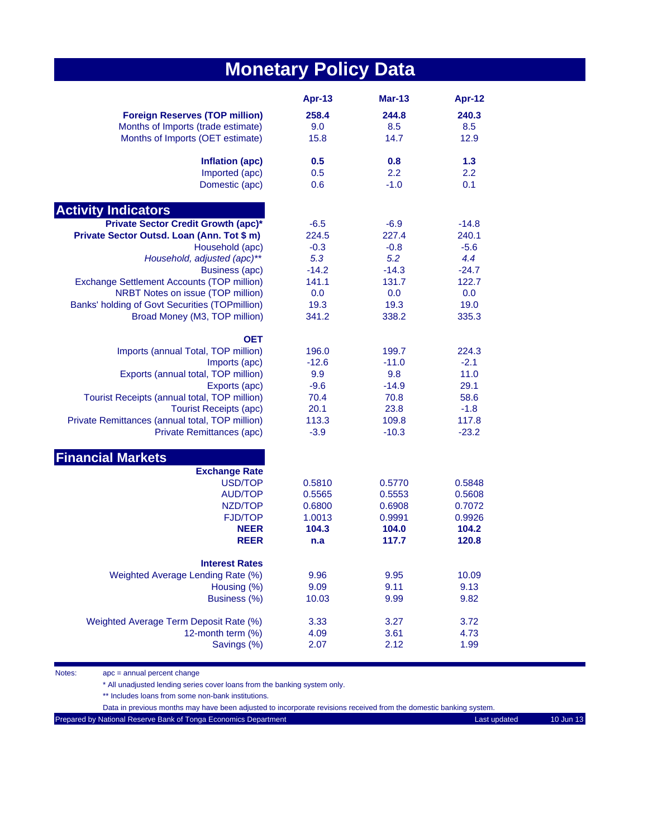# **Monetary Policy Data**

|                                                 | Apr-13  | <b>Mar-13</b> | Apr-12  |
|-------------------------------------------------|---------|---------------|---------|
| <b>Foreign Reserves (TOP million)</b>           | 258.4   | 244.8         | 240.3   |
| Months of Imports (trade estimate)              | 9.0     | 8.5           | 8.5     |
| Months of Imports (OET estimate)                | 15.8    | 14.7          | 12.9    |
| Inflation (apc)                                 | 0.5     | 0.8           | 1.3     |
| Imported (apc)                                  | 0.5     | 2.2           | 2.2     |
| Domestic (apc)                                  | 0.6     | $-1.0$        | 0.1     |
| <b>Activity Indicators</b>                      |         |               |         |
| <b>Private Sector Credit Growth (apc)*</b>      | $-6.5$  | $-6.9$        | $-14.8$ |
| Private Sector Outsd. Loan (Ann. Tot \$ m)      | 224.5   | 227.4         | 240.1   |
| Household (apc)                                 | $-0.3$  | $-0.8$        | $-5.6$  |
| Household, adjusted (apc)**                     | 5.3     | 5.2           | 4.4     |
| <b>Business (apc)</b>                           | $-14.2$ | $-14.3$       | $-24.7$ |
| Exchange Settlement Accounts (TOP million)      | 141.1   | 131.7         | 122.7   |
| NRBT Notes on issue (TOP million)               | 0.0     | 0.0           | 0.0     |
| Banks' holding of Govt Securities (TOPmillion)  | 19.3    | 19.3          | 19.0    |
| Broad Money (M3, TOP million)                   | 341.2   | 338.2         | 335.3   |
| <b>OET</b>                                      |         |               |         |
| Imports (annual Total, TOP million)             | 196.0   | 199.7         | 224.3   |
| Imports (apc)                                   | $-12.6$ | $-11.0$       | $-2.1$  |
| Exports (annual total, TOP million)             | 9.9     | 9.8           | 11.0    |
| Exports (apc)                                   | $-9.6$  | $-14.9$       | 29.1    |
| Tourist Receipts (annual total, TOP million)    | 70.4    | 70.8          | 58.6    |
| <b>Tourist Receipts (apc)</b>                   | 20.1    | 23.8          | $-1.8$  |
| Private Remittances (annual total, TOP million) | 113.3   | 109.8         | 117.8   |
| Private Remittances (apc)                       | $-3.9$  | $-10.3$       | $-23.2$ |
| <b>Financial Markets</b>                        |         |               |         |
| <b>Exchange Rate</b>                            |         |               |         |
| USD/TOP                                         | 0.5810  | 0.5770        | 0.5848  |
| <b>AUD/TOP</b>                                  | 0.5565  | 0.5553        | 0.5608  |
| NZD/TOP                                         | 0.6800  | 0.6908        | 0.7072  |
| <b>FJD/TOP</b>                                  | 1.0013  | 0.9991        | 0.9926  |
| <b>NEER</b>                                     | 104.3   | 104.0         | 104.2   |
| <b>REER</b>                                     | n.a     | 117.7         | 120.8   |
| <b>Interest Rates</b>                           |         |               |         |
| Weighted Average Lending Rate (%)               | 9.96    | 9.95          | 10.09   |
| Housing (%)                                     | 9.09    | 9.11          | 9.13    |
| Business (%)                                    | 10.03   | 9.99          | 9.82    |
| Weighted Average Term Deposit Rate (%)          | 3.33    | 3.27          | 3.72    |
| 12-month term (%)                               | 4.09    | 3.61          | 4.73    |
| Savings (%)                                     | 2.07    | 2.12          | 1.99    |

Notes: apc = annual percent change

\* All unadjusted lending series cover loans from the banking system only.

\*\* Includes loans from some non-bank institutions.

Data in previous months may have been adjusted to incorporate revisions received from the domestic banking system.

Prepared by National Reserve Bank of Tonga Economics Department Last updated Last updated 10 Jun 13